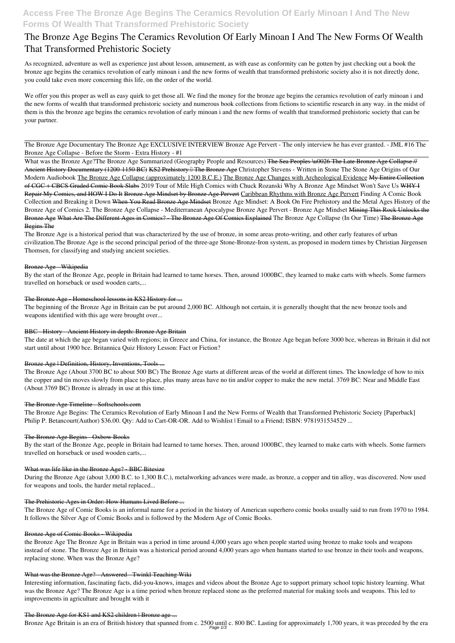## **Access Free The Bronze Age Begins The Ceramics Revolution Of Early Minoan I And The New Forms Of Wealth That Transformed Prehistoric Society**

# **The Bronze Age Begins The Ceramics Revolution Of Early Minoan I And The New Forms Of Wealth That Transformed Prehistoric Society**

As recognized, adventure as well as experience just about lesson, amusement, as with ease as conformity can be gotten by just checking out a book **the bronze age begins the ceramics revolution of early minoan i and the new forms of wealth that transformed prehistoric society** also it is not directly done, you could take even more concerning this life, on the order of the world.

We offer you this proper as well as easy quirk to get those all. We find the money for the bronze age begins the ceramics revolution of early minoan i and the new forms of wealth that transformed prehistoric society and numerous book collections from fictions to scientific research in any way. in the midst of them is this the bronze age begins the ceramics revolution of early minoan i and the new forms of wealth that transformed prehistoric society that can be your partner.

The Bronze Age Documentary The Bronze Age **EXCLUSIVE INTERVIEW Bronze Age Pervert - The only interview he has ever granted. - JML #16 The Bronze Age Collapse - Before the Storm - Extra History - #1**

What was the Bronze Age?The Bronze Age Summarized (Geography People and Resources) <del>The Sea Peoples \u0026 The Late Bronze Age Collapse //</del> Ancient History Documentary (1200-1150 BC) KS2 Prehistory <sup>[</sup>] The Bronze Age Christopher Stevens - Written in Stone The Stone Age Origins of Our Modern Audiobook The Bronze Age Collapse (approximately 1200 B.C.E.) The Bronze Age Changes with Archeological Evidence My Entire Collection of CGC + CBCS Graded Comic Book Slabs *2019 Tour of Mile High Comics with Chuck Rozanski Why A Bronze Age Mindset Won't Save Us* WHY I Repair My Comics, and HOW I Do It Bronze Age Mindset by Bronze Age Pervert Caribbean Rhythms with Bronze Age Pervert *Finding A Comic Book Collection and Breaking it Down* When You Read Bronze Age Mindset Bronze Age Mindset: A Book On Fire **Prehistory and the Metal Ages** *History of the Bronze Age of Comics 2. The Bronze Age Collapse - Mediterranean Apocalypse Bronze Age Pervert - Bronze Age Mindset* Mining This Rock Unlocks the Bronze Age What Are The Different Ages in Comics? - The Bronze Age Of Comics Explained *The Bronze Age Collapse (In Our Time)* The Bronze Age Begins The

The Bronze Age Begins: The Ceramics Revolution of Early Minoan I and the New Forms of Wealth that Transformed Prehistoric Society [Paperback] Philip P. Betancourt(Author) \$36.00. Qty: Add to Cart-OR-OR. Add to Wishlist | Email to a Friend; ISBN: 9781931534529 ...

## The Bronze Age Begins Oxbow Books

The Bronze Age is a historical period that was characterized by the use of bronze, in some areas proto-writing, and other early features of urban civilization.The Bronze Age is the second principal period of the three-age Stone-Bronze-Iron system, as proposed in modern times by Christian Jürgensen Thomsen, for classifying and studying ancient societies.

## Bronze Age Wikipedia

By the start of the Bronze Age, people in Britain had learned to tame horses. Then, around 1000BC, they learned to make carts with wheels. Some farmers travelled on horseback or used wooden carts,...

## The Bronze Age - Homeschool lessons in KS2 History for ...

The beginning of the Bronze Age in Britain can be put around 2,000 BC. Although not certain, it is generally thought that the new bronze tools and weapons identified with this age were brought over...

## BBC - History - Ancient History in depth: Bronze Age Britain

The date at which the age began varied with regions; in Greece and China, for instance, the Bronze Age began before 3000 bce, whereas in Britain it did not start until about 1900 bce. Britannica Quiz History Lesson: Fact or Fiction?

## Bronze Age | Definition, History, Inventions, Tools ...

The Bronze Age (About 3700 BC to about 500 BC) The Bronze Age starts at different areas of the world at different times. The knowledge of how to mix the copper and tin moves slowly from place to place, plus many areas have no tin and/or copper to make the new metal. 3769 BC: Near and Middle East (About 3769 BC) Bronze is already in use at this time.

## The Bronze Age Timeline - Softschools.com

By the start of the Bronze Age, people in Britain had learned to tame horses. Then, around 1000BC, they learned to make carts with wheels. Some farmers travelled on horseback or used wooden carts,...

## What was life like in the Bronze Age? - BBC Bitesize

During the Bronze Age (about 3,000 B.C. to 1,300 B.C.), metalworking advances were made, as bronze, a copper and tin alloy, was discovered. Now used for weapons and tools, the harder metal replaced...

#### The Prehistoric Ages in Order: How Humans Lived Before ...

The Bronze Age of Comic Books is an informal name for a period in the history of American superhero comic books usually said to run from 1970 to 1984. It follows the Silver Age of Comic Books and is followed by the Modern Age of Comic Books.

#### Bronze Age of Comic Books - Wikipedia

the Bronze Age The Bronze Age in Britain was a period in time around 4,000 years ago when people started using bronze to make tools and weapons instead of stone. The Bronze Age in Britain was a historical period around 4,000 years ago when humans started to use bronze in their tools and weapons, replacing stone. When was the Bronze Age?

#### What was the Bronze Age? - Answered - Twinkl Teaching Wiki

Interesting information, fascinating facts, did-you-knows, images and videos about the Bronze Age to support primary school topic history learning. What was the Bronze Age? The Bronze Age is a time period when bronze replaced stone as the preferred material for making tools and weapons. This led to improvements in agriculture and brought with it

#### The Bronze Age for KS1 and KS2 children | Bronze age ...

Bronze Age Britain is an era of British history that spanned from c. 2500 until c. 800 BC. Lasting for approximately 1,700 years, it was preceded by the era Page 1/3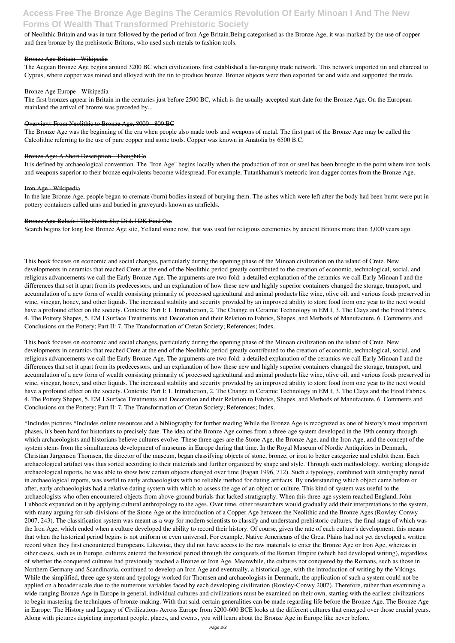## **Access Free The Bronze Age Begins The Ceramics Revolution Of Early Minoan I And The New Forms Of Wealth That Transformed Prehistoric Society**

of Neolithic Britain and was in turn followed by the period of Iron Age Britain.Being categorised as the Bronze Age, it was marked by the use of copper and then bronze by the prehistoric Britons, who used such metals to fashion tools.

## Bronze Age Britain - Wikipedia

The Aegean Bronze Age begins around 3200 BC when civilizations first established a far-ranging trade network. This network imported tin and charcoal to Cyprus, where copper was mined and alloyed with the tin to produce bronze. Bronze objects were then exported far and wide and supported the trade.

## Bronze Age Europe - Wikipedia

The first bronzes appear in Britain in the centuries just before 2500 BC, which is the usually accepted start date for the Bronze Age. On the European mainland the arrival of bronze was preceded by...

## Overview: From Neolithic to Bronze Age, 8000 - 800 BC

The Bronze Age was the beginning of the era when people also made tools and weapons of metal. The first part of the Bronze Age may be called the Calcolithic referring to the use of pure copper and stone tools. Copper was known in Anatolia by 6500 B.C.

## Bronze Age: A Short Description - ThoughtCo

It is defined by archaeological convention. The "Iron Age" begins locally when the production of iron or steel has been brought to the point where iron tools and weapons superior to their bronze equivalents become widespread. For example, Tutankhamun's meteoric iron dagger comes from the Bronze Age.

## Iron Age Wikipedia

In the late Bronze Age, people began to cremate (burn) bodies instead of burying them. The ashes which were left after the body had been burnt were put in pottery containers called urns and buried in graveyards known as urnfields.

## Bronze Age Beliefs | The Nebra Sky Disk | DK Find Out

Search begins for long lost Bronze Age site, Yelland stone row, that was used for religious ceremonies by ancient Britons more than 3,000 years ago.

This book focuses on economic and social changes, particularly during the opening phase of the Minoan civilization on the island of Crete. New developments in ceramics that reached Crete at the end of the Neolithic period greatly contributed to the creation of economic, technological, social, and religious advancements we call the Early Bronze Age. The arguments are two-fold: a detailed explanation of the ceramics we call Early Minoan I and the differences that set it apart from its predecessors, and an explanation of how these new and highly superior containers changed the storage, transport, and accumulation of a new form of wealth consisting primarily of processed agricultural and animal products like wine, olive oil, and various foods preserved in wine, vinegar, honey, and other liquids. The increased stability and security provided by an improved ability to store food from one year to the next would have a profound effect on the society. Contents: Part I: 1. Introduction, 2. The Change in Ceramic Technology in EM I, 3. The Clays and the Fired Fabrics, 4. The Pottery Shapes, 5. EM I Surface Treatments and Decoration and their Relation to Fabrics, Shapes, and Methods of Manufacture, 6. Comments and Conclusions on the Pottery; Part II: 7. The Transformation of Cretan Society; References; Index.

This book focuses on economic and social changes, particularly during the opening phase of the Minoan civilization on the island of Crete. New developments in ceramics that reached Crete at the end of the Neolithic period greatly contributed to the creation of economic, technological, social, and religious advancements we call the Early Bronze Age. The arguments are two-fold: a detailed explanation of the ceramics we call Early Minoan I and the differences that set it apart from its predecessors, and an explanation of how these new and highly superior containers changed the storage, transport, and accumulation of a new form of wealth consisting primarily of processed agricultural and animal products like wine, olive oil, and various foods preserved in wine, vinegar, honey, and other liquids. The increased stability and security provided by an improved ability to store food from one year to the next would have a profound effect on the society. Contents: Part I: 1. Introduction, 2. The Change in Ceramic Technology in EM I, 3. The Clays and the Fired Fabrics, 4. The Pottery Shapes, 5. EM I Surface Treatments and Decoration and their Relation to Fabrics, Shapes, and Methods of Manufacture, 6. Comments and Conclusions on the Pottery; Part II: 7. The Transformation of Cretan Society; References; Index.

\*Includes pictures \*Includes online resources and a bibliography for further reading While the Bronze Age is recognized as one of history's most important phases, it's been hard for historians to precisely date. The idea of the Bronze Age comes from a three-age system developed in the 19th century through which archaeologists and historians believe cultures evolve. These three ages are the Stone Age, the Bronze Age, and the Iron Age, and the concept of the system stems from the simultaneous development of museums in Europe during that time. In the Royal Museum of Nordic Antiquities in Denmark, Christian Jürgensen Thomsen, the director of the museum, began classifying objects of stone, bronze, or iron to better categorize and exhibit them. Each archaeological artifact was thus sorted according to their materials and further organized by shape and style. Through such methodology, working alongside archaeological reports, he was able to show how certain objects changed over time (Fagan 1996, 712). Such a typology, combined with stratigraphy noted in archaeological reports, was useful to early archaeologists with no reliable method for dating artifacts. By understanding which object came before or after, early archaeologists had a relative dating system with which to assess the age of an object or culture. This kind of system was useful to the archaeologists who often encountered objects from above-ground burials that lacked stratigraphy. When this three-age system reached England, John Lubbock expanded on it by applying cultural anthropology to the ages. Over time, other researchers would gradually add their interpretations to the system, with many arguing for sub-divisions of the Stone Age or the introduction of a Copper Age between the Neolithic and the Bronze Ages (Rowley-Conwy 2007, 243). The classification system was meant as a way for modern scientists to classify and understand prehistoric cultures, the final stage of which was the Iron Age, which ended when a culture developed the ability to record their history. Of course, given the rate of each culture's development, this means that when the historical period begins is not uniform or even universal. For example, Native Americans of the Great Plains had not yet developed a written record when they first encountered Europeans. Likewise, they did not have access to the raw materials to enter the Bronze Age or Iron Age, whereas in other cases, such as in Europe, cultures entered the historical period through the conquests of the Roman Empire (which had developed writing), regardless of whether the conquered cultures had previously reached a Bronze or Iron Age. Meanwhile, the cultures not conquered by the Romans, such as those in Northern Germany and Scandinavia, continued to develop an Iron Age and eventually, a historical age, with the introduction of writing by the Vikings. While the simplified, three-age system and typology worked for Thomsen and archaeologists in Denmark, the application of such a system could not be applied on a broader scale due to the numerous variables faced by each developing civilization (Rowley-Conwy 2007). Therefore, rather than examining a wide-ranging Bronze Age in Europe in general, individual cultures and civilizations must be examined on their own, starting with the earliest civilizations to begin mastering the techniques of bronze-making. With that said, certain generalities can be made regarding life before the Bronze Age. The Bronze Age in Europe: The History and Legacy of Civilizations Across Europe from 3200-600 BCE looks at the different cultures that emerged over those crucial years. Along with pictures depicting important people, places, and events, you will learn about the Bronze Age in Europe like never before.